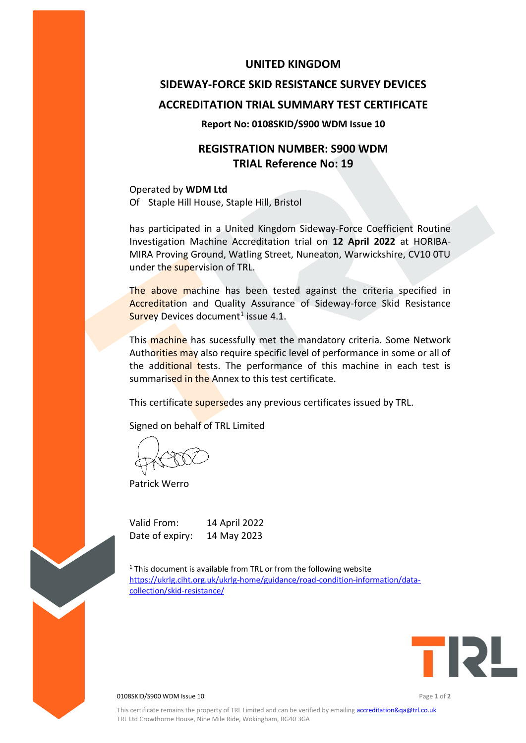### **UNITED KINGDOM**

# **SIDEWAY-FORCE SKID RESISTANCE SURVEY DEVICES ACCREDITATION TRIAL SUMMARY TEST CERTIFICATE**

#### **Report No: 0108SKID/S900 WDM Issue 10**

## **REGISTRATION NUMBER: S900 WDM TRIAL Reference No: 19**

Operated by **WDM Ltd** Of Staple Hill House, Staple Hill, Bristol

has participated in a United Kingdom Sideway-Force Coefficient Routine Investigation Machine Accreditation trial on **12 April 2022** at HORIBA-MIRA Proving Ground, Watling Street, Nuneaton, Warwickshire, CV10 0TU under the supervision of TRL.

The above machine has been tested against the criteria specified in Accreditation and Quality Assurance of Sideway-force Skid Resistance Survey Devices document<sup>1</sup> issue 4.1.

This machine has sucessfully met the mandatory criteria. Some Network Authorities may also require specific level of performance in some or all of the additional tests. The performance of this machine in each test is summarised in the Annex to this test certificate.

This certificate supersedes any previous certificates issued by TRL.

Signed on behalf of TRL Limited

Patrick Werro

Valid From: 14 April 2022 Date of expiry: 14 May 2023

 $1$ <sup>1</sup> This document is available from TRL or from the following website [https://ukrlg.ciht.org.uk/ukrlg-home/guidance/road-condition-information/data](https://ukrlg.ciht.org.uk/ukrlg-home/guidance/road-condition-information/data-collection/skid-resistance/)[collection/skid-resistance/](https://ukrlg.ciht.org.uk/ukrlg-home/guidance/road-condition-information/data-collection/skid-resistance/)



0108SKID/S900 WDM Issue 10 Page **1** of **2**